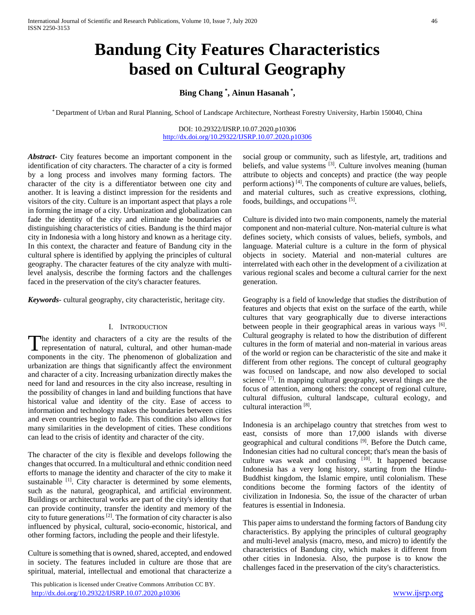# **Bandung City Features Characteristics based on Cultural Geography**

# **Bing Chang \* , Ainun Hasanah \* ,**

\* Department of Urban and Rural Planning, School of Landscape Architecture, Northeast Forestry University, Harbin 150040, China

#### DOI: 10.29322/IJSRP.10.07.2020.p10306 <http://dx.doi.org/10.29322/IJSRP.10.07.2020.p10306>

*Abstract***-** City features become an important component in the identification of city characters. The character of a city is formed by a long process and involves many forming factors. The character of the city is a differentiator between one city and another. It is leaving a distinct impression for the residents and visitors of the city. Culture is an important aspect that plays a role in forming the image of a city. Urbanization and globalization can fade the identity of the city and eliminate the boundaries of distinguishing characteristics of cities. Bandung is the third major city in Indonesia with a long history and known as a heritage city. In this context, the character and feature of Bandung city in the cultural sphere is identified by applying the principles of cultural geography. The character features of the city analyze with multilevel analysis, describe the forming factors and the challenges faced in the preservation of the city's character features.

*Keywords*- cultural geography, city characteristic, heritage city.

#### I. INTRODUCTION

The identity and characters of a city are the results of the The identity and characters of a city are the results of the representation of natural, cultural, and other human-made components in the city. The phenomenon of globalization and urbanization are things that significantly affect the environment and character of a city. Increasing urbanization directly makes the need for land and resources in the city also increase, resulting in the possibility of changes in land and building functions that have historical value and identity of the city. Ease of access to information and technology makes the boundaries between cities and even countries begin to fade. This condition also allows for many similarities in the development of cities. These conditions can lead to the crisis of identity and character of the city.

The character of the city is flexible and develops following the changes that occurred. In a multicultural and ethnic condition need efforts to manage the identity and character of the city to make it sustainable <sup>[1]</sup>. City character is determined by some elements, such as the natural, geographical, and artificial environment. Buildings or architectural works are part of the city's identity that can provide continuity, transfer the identity and memory of the city to future generations [2]. The formation of city character is also influenced by physical, cultural, socio-economic, historical, and other forming factors, including the people and their lifestyle.

Culture is something that is owned, shared, accepted, and endowed in society. The features included in culture are those that are spiritual, material, intellectual and emotional that characterize a

 This publication is licensed under Creative Commons Attribution CC BY. <http://dx.doi.org/10.29322/IJSRP.10.07.2020.p10306> [www.ijsrp.org](http://ijsrp.org/)

social group or community, such as lifestyle, art, traditions and beliefs, and value systems <sup>[3]</sup>. Culture involves meaning (human attribute to objects and concepts) and practice (the way people perform actions) [4]. The components of culture are values, beliefs, and material cultures, such as creative expressions, clothing, foods, buildings, and occupations [5].

Culture is divided into two main components, namely the material component and non-material culture. Non-material culture is what defines society, which consists of values, beliefs, symbols, and language. Material culture is a culture in the form of physical objects in society. Material and non-material cultures are interrelated with each other in the development of a civilization at various regional scales and become a cultural carrier for the next generation.

Geography is a field of knowledge that studies the distribution of features and objects that exist on the surface of the earth, while cultures that vary geographically due to diverse interactions between people in their geographical areas in various ways [6]. Cultural geography is related to how the distribution of different cultures in the form of material and non-material in various areas of the world or region can be characteristic of the site and make it different from other regions. The concept of cultural geography was focused on landscape, and now also developed to social science [7]. In mapping cultural geography, several things are the focus of attention, among others: the concept of regional culture, cultural diffusion, cultural landscape, cultural ecology, and cultural interaction<sup>[8]</sup>.

Indonesia is an archipelago country that stretches from west to east, consists of more than 17,000 islands with diverse geographical and cultural conditions [9]. Before the Dutch came, Indonesian cities had no cultural concept; that's mean the basis of culture was weak and confusing  $[10]$ . It happened because Indonesia has a very long history, starting from the Hindu-Buddhist kingdom, the Islamic empire, until colonialism. These conditions become the forming factors of the identity of civilization in Indonesia. So, the issue of the character of urban features is essential in Indonesia.

This paper aims to understand the forming factors of Bandung city characteristics. By applying the principles of cultural geography and multi-level analysis (macro, meso, and micro) to identify the characteristics of Bandung city, which makes it different from other cities in Indonesia. Also, the purpose is to know the challenges faced in the preservation of the city's characteristics.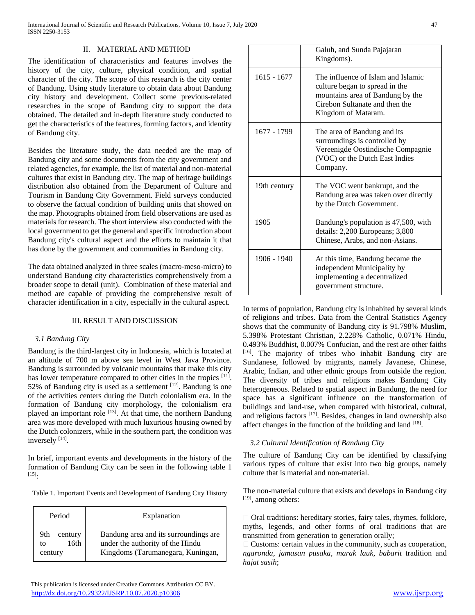# II. MATERIAL AND METHOD

The identification of characteristics and features involves the history of the city, culture, physical condition, and spatial character of the city. The scope of this research is the city center of Bandung. Using study literature to obtain data about Bandung city history and development. Collect some previous-related researches in the scope of Bandung city to support the data obtained. The detailed and in-depth literature study conducted to get the characteristics of the features, forming factors, and identity of Bandung city.

Besides the literature study, the data needed are the map of Bandung city and some documents from the city government and related agencies, for example, the list of material and non-material cultures that exist in Bandung city. The map of heritage buildings distribution also obtained from the Department of Culture and Tourism in Bandung City Government. Field surveys conducted to observe the factual condition of building units that showed on the map. Photographs obtained from field observations are used as materials for research. The short interview also conducted with the local government to get the general and specific introduction about Bandung city's cultural aspect and the efforts to maintain it that has done by the government and communities in Bandung city.

The data obtained analyzed in three scales (macro-meso-micro) to understand Bandung city characteristics comprehensively from a broader scope to detail (unit). Combination of these material and method are capable of providing the comprehensive result of character identification in a city, especially in the cultural aspect.

## III. RESULT AND DISCUSSION

## *3.1 Bandung City*

Bandung is the third-largest city in Indonesia, which is located at an altitude of 700 m above sea level in West Java Province. Bandung is surrounded by volcanic mountains that make this city has lower temperature compared to other cities in the tropics [11]. 52% of Bandung city is used as a settlement  $[12]$ . Bandung is one of the activities centers during the Dutch colonialism era. In the formation of Bandung city morphology, the colonialism era played an important role [13]. At that time, the northern Bandung area was more developed with much luxurious housing owned by the Dutch colonizers, while in the southern part, the condition was inversely [14].

In brief, important events and developments in the history of the formation of Bandung City can be seen in the following table 1  $[15]$ :

|  | Table 1. Important Events and Development of Bandung City History |  |
|--|-------------------------------------------------------------------|--|
|  |                                                                   |  |

| Period                                  | Explanation                                                                                                    |
|-----------------------------------------|----------------------------------------------------------------------------------------------------------------|
| 9th<br>century<br>16th<br>tΩ<br>century | Bandung area and its surroundings are<br>under the authority of the Hindu<br>Kingdoms (Tarumanegara, Kuningan, |

|               | Galuh, and Sunda Pajajaran<br>Kingdoms).                                                                                                                          |
|---------------|-------------------------------------------------------------------------------------------------------------------------------------------------------------------|
| $1615 - 1677$ | The influence of Islam and Islamic<br>culture began to spread in the<br>mountains area of Bandung by the<br>Cirebon Sultanate and then the<br>Kingdom of Mataram. |
| 1677 - 1799   | The area of Bandung and its<br>surroundings is controlled by<br>Vereenigde Oostindische Compagnie<br>(VOC) or the Dutch East Indies<br>Company.                   |
| 19th century  | The VOC went bankrupt, and the<br>Bandung area was taken over directly<br>by the Dutch Government.                                                                |
| 1905          | Bandung's population is 47,500, with<br>details: 2,200 Europeans; 3,800<br>Chinese, Arabs, and non-Asians.                                                        |
| 1906 - 1940   | At this time, Bandung became the<br>independent Municipality by<br>implementing a decentralized<br>government structure.                                          |

In terms of population, Bandung city is inhabited by several kinds of religions and tribes. Data from the Central Statistics Agency shows that the community of Bandung city is 91.798% Muslim, 5.398% Protestant Christian, 2.228% Catholic, 0.071% Hindu, 0.493% Buddhist, 0.007% Confucian, and the rest are other faiths [16]. The majority of tribes who inhabit Bandung city are Sundanese, followed by migrants, namely Javanese, Chinese, Arabic, Indian, and other ethnic groups from outside the region. The diversity of tribes and religions makes Bandung City heterogeneous. Related to spatial aspect in Bandung, the need for space has a significant influence on the transformation of buildings and land-use, when compared with historical, cultural, and religious factors  $[17]$ . Besides, changes in land ownership also affect changes in the function of the building and land [18].

## *3.2 Cultural Identification of Bandung City*

The culture of Bandung City can be identified by classifying various types of culture that exist into two big groups, namely culture that is material and non-material.

The non-material culture that exists and develops in Bandung city [19], among others:

 $\Box$  Oral traditions: hereditary stories, fairy tales, rhymes, folklore, myths, legends, and other forms of oral traditions that are transmitted from generation to generation orally;

 $\Box$  Customs: certain values in the community, such as cooperation, *ngaronda*, *jamasan pusaka*, *marak lauk*, *babarit* tradition and *hajat sasih*;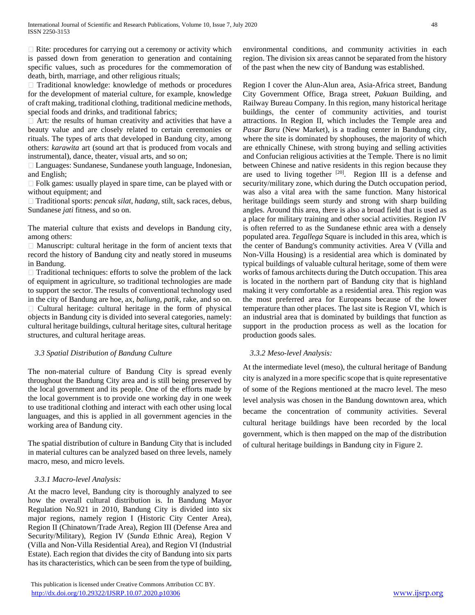$\Box$  Rite: procedures for carrying out a ceremony or activity which is passed down from generation to generation and containing specific values, such as procedures for the commemoration of death, birth, marriage, and other religious rituals;

Traditional knowledge: knowledge of methods or procedures for the development of material culture, for example, knowledge of craft making, traditional clothing, traditional medicine methods, special foods and drinks, and traditional fabrics;

 $\Box$  Art: the results of human creativity and activities that have a beauty value and are closely related to certain ceremonies or rituals. The types of arts that developed in Bandung city, among others: *karawita* art (sound art that is produced from vocals and instrumental), dance, theater, visual arts, and so on;

Languages: Sundanese, Sundanese youth language, Indonesian, and English;

Folk games: usually played in spare time, can be played with or without equipment; and

□ Traditional sports: *pencak silat*, *hadang*, stilt, sack races, debus, Sundanese *jati* fitness, and so on.

The material culture that exists and develops in Bandung city, among others:

 $\Box$  Manuscript: cultural heritage in the form of ancient texts that record the history of Bandung city and neatly stored in museums in Bandung.

 $\Box$  Traditional techniques: efforts to solve the problem of the lack of equipment in agriculture, so traditional technologies are made to support the sector. The results of conventional technology used in the city of Bandung are hoe, ax, *baliung*, *patik*, rake, and so on.  $\Box$  Cultural heritage: cultural heritage in the form of physical objects in Bandung city is divided into several categories, namely: cultural heritage buildings, cultural heritage sites, cultural heritage structures, and cultural heritage areas.

# *3.3 Spatial Distribution of Bandung Culture*

The non-material culture of Bandung City is spread evenly throughout the Bandung City area and is still being preserved by the local government and its people. One of the efforts made by the local government is to provide one working day in one week to use traditional clothing and interact with each other using local languages, and this is applied in all government agencies in the working area of Bandung city.

The spatial distribution of culture in Bandung City that is included in material cultures can be analyzed based on three levels, namely macro, meso, and micro levels.

# *3.3.1 Macro-level Analysis:*

At the macro level, Bandung city is thoroughly analyzed to see how the overall cultural distribution is. In Bandung Mayor Regulation No.921 in 2010, Bandung City is divided into six major regions, namely region I (Historic City Center Area), Region II (Chinatown/Trade Area), Region III (Defense Area and Security/Military), Region IV (*Sunda* Ethnic Area), Region V (Villa and Non-Villa Residential Area), and Region VI (Industrial Estate). Each region that divides the city of Bandung into six parts has its characteristics, which can be seen from the type of building, environmental conditions, and community activities in each region. The division six areas cannot be separated from the history of the past when the new city of Bandung was established.

Region I cover the Alun-Alun area, Asia-Africa street, Bandung City Government Office, Braga street, *Pakuan* Building, and Railway Bureau Company. In this region, many historical heritage buildings, the center of community activities, and tourist attractions. In Region II, which includes the Temple area and *Pasar Baru* (New Market), is a trading center in Bandung city, where the site is dominated by shophouses, the majority of which are ethnically Chinese, with strong buying and selling activities and Confucian religious activities at the Temple. There is no limit between Chinese and native residents in this region because they are used to living together  $[20]$ . Region III is a defense and security/military zone, which during the Dutch occupation period, was also a vital area with the same function. Many historical heritage buildings seem sturdy and strong with sharp building angles. Around this area, there is also a broad field that is used as a place for military training and other social activities. Region IV is often referred to as the Sundanese ethnic area with a densely populated area. *Tegallega* Square is included in this area, which is the center of Bandung's community activities. Area V (Villa and Non-Villa Housing) is a residential area which is dominated by typical buildings of valuable cultural heritage, some of them were works of famous architects during the Dutch occupation. This area is located in the northern part of Bandung city that is highland making it very comfortable as a residential area. This region was the most preferred area for Europeans because of the lower temperature than other places. The last site is Region VI, which is an industrial area that is dominated by buildings that function as support in the production process as well as the location for production goods sales.

## *3.3.2 Meso-level Analysis:*

At the intermediate level (meso), the cultural heritage of Bandung city is analyzed in a more specific scope that is quite representative of some of the Regions mentioned at the macro level. The meso level analysis was chosen in the Bandung downtown area, which became the concentration of community activities. Several cultural heritage buildings have been recorded by the local government, which is then mapped on the map of the distribution of cultural heritage buildings in Bandung city in Figure 2.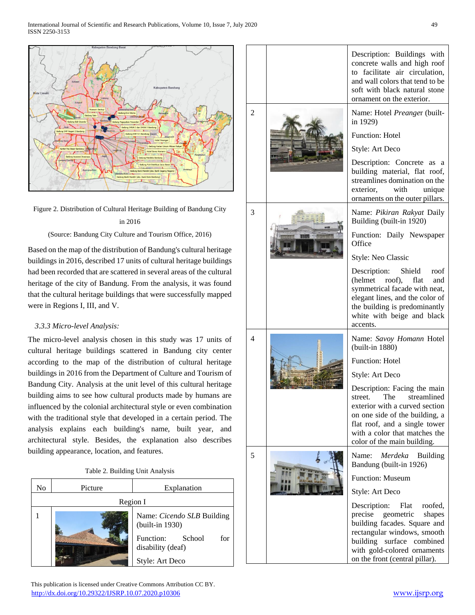

Figure 2. Distribution of Cultural Heritage Building of Bandung City in 2016

(Source: Bandung City Culture and Tourism Office, 2016)

Based on the map of the distribution of Bandung's cultural heritage buildings in 2016, described 17 units of cultural heritage buildings had been recorded that are scattered in several areas of the cultural heritage of the city of Bandung. From the analysis, it was found that the cultural heritage buildings that were successfully mapped were in Regions I, III, and V.

# *3.3.3 Micro-level Analysis:*

The micro-level analysis chosen in this study was 17 units of cultural heritage buildings scattered in Bandung city center according to the map of the distribution of cultural heritage buildings in 2016 from the Department of Culture and Tourism of Bandung City. Analysis at the unit level of this cultural heritage building aims to see how cultural products made by humans are influenced by the colonial architectural style or even combination with the traditional style that developed in a certain period. The analysis explains each building's name, built year, and architectural style. Besides, the explanation also describes building appearance, location, and features.

| Table 2. Building Unit Analysis |  |  |
|---------------------------------|--|--|
|---------------------------------|--|--|

| No       | Picture | Explanation                                     |  |
|----------|---------|-------------------------------------------------|--|
| Region I |         |                                                 |  |
|          |         | Name: Cicendo SLB Building<br>(built-in 1930)   |  |
|          |         | Function:<br>for<br>School<br>disability (deaf) |  |
|          |         | Style: Art Deco                                 |  |

 This publication is licensed under Creative Commons Attribution CC BY. <http://dx.doi.org/10.29322/IJSRP.10.07.2020.p10306> [www.ijsrp.org](http://ijsrp.org/)

|   |  | Description: Buildings with<br>concrete walls and high roof<br>to facilitate air circulation,<br>and wall colors that tend to be<br>soft with black natural stone<br>ornament on the exterior.                                 |
|---|--|--------------------------------------------------------------------------------------------------------------------------------------------------------------------------------------------------------------------------------|
| 2 |  | Name: Hotel Preanger (built-<br>in 1929)                                                                                                                                                                                       |
|   |  | Function: Hotel                                                                                                                                                                                                                |
|   |  | Style: Art Deco<br>Description: Concrete<br>as a<br>building material, flat roof,<br>streamlines domination on the                                                                                                             |
|   |  | with<br>exterior.<br>unique<br>ornaments on the outer pillars.                                                                                                                                                                 |
| 3 |  | Name: Pikiran Rakyat Daily<br>Building (built-in 1920)                                                                                                                                                                         |
|   |  | Function: Daily Newspaper<br>Office                                                                                                                                                                                            |
|   |  | Style: Neo Classic                                                                                                                                                                                                             |
|   |  | Description:<br>Shield<br>roof<br>(helmet)<br>roof),<br>flat<br>and<br>symmetrical facade with neat,<br>elegant lines, and the color of<br>the building is predominantly<br>white with beige and black<br>accents.             |
| 4 |  | Name: Savoy Homann Hotel<br>(built-in 1880)                                                                                                                                                                                    |
|   |  | <b>Function: Hotel</b>                                                                                                                                                                                                         |
|   |  | Style: Art Deco                                                                                                                                                                                                                |
|   |  | Description: Facing the main<br>streamlined<br>The<br>street.                                                                                                                                                                  |
|   |  | exterior with a curved section                                                                                                                                                                                                 |
|   |  | on one side of the building, a<br>flat roof, and a single tower                                                                                                                                                                |
|   |  | with a color that matches the<br>color of the main building.                                                                                                                                                                   |
| 5 |  | Merdeka Building<br>Name:<br>Bandung (built-in 1926)                                                                                                                                                                           |
|   |  | <b>Function: Museum</b>                                                                                                                                                                                                        |
|   |  | Style: Art Deco                                                                                                                                                                                                                |
|   |  | Description:<br>Flat<br>roofed,<br>geometric<br>precise<br>shapes<br>building facades. Square and<br>rectangular windows, smooth<br>building surface combined<br>with gold-colored ornaments<br>on the front (central pillar). |
|   |  |                                                                                                                                                                                                                                |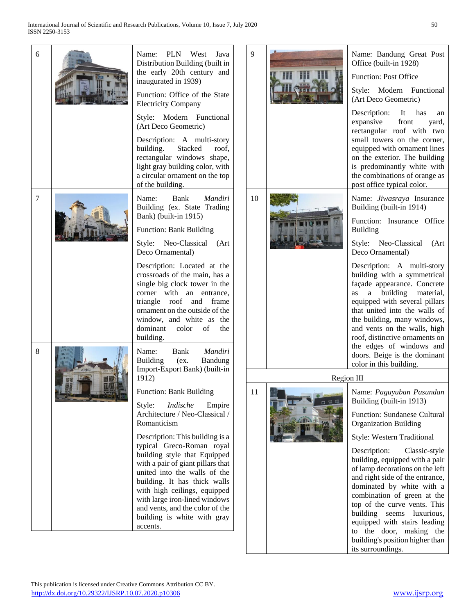| 6 |       | Name: PLN West<br>Java<br>Distribution Building (built in<br>the early 20th century and<br>inaugurated in 1939)<br>Function: Office of the State<br><b>Electricity Company</b><br>Style: Modern Functional                                                                                                                                       | $\mathbf \epsilon$ |
|---|-------|--------------------------------------------------------------------------------------------------------------------------------------------------------------------------------------------------------------------------------------------------------------------------------------------------------------------------------------------------|--------------------|
|   |       | (Art Deco Geometric)                                                                                                                                                                                                                                                                                                                             |                    |
|   |       | Description: A multi-story<br>Stacked<br>building.<br>roof.<br>rectangular windows shape,<br>light gray building color, with<br>a circular ornament on the top<br>of the building.                                                                                                                                                               |                    |
| 7 |       | Bank<br>Mandiri<br>Name:<br>Building (ex. State Trading<br>Bank) (built-in 1915)                                                                                                                                                                                                                                                                 |                    |
|   |       | <b>Function: Bank Building</b>                                                                                                                                                                                                                                                                                                                   |                    |
|   |       | Style: Neo-Classical (Art<br>Deco Ornamental)                                                                                                                                                                                                                                                                                                    |                    |
|   |       | Description: Located at the<br>crossroads of the main, has a<br>single big clock tower in the<br>corner with an entrance,<br>triangle roof and frame<br>ornament on the outside of the<br>window, and white as<br>the<br>dominant color of<br>the<br>building.                                                                                   |                    |
| 8 | AVE 7 | Bank<br>Mandiri<br>Name:<br>Building<br>(ex.<br>Bandung<br>Import-Export Bank) (built-in<br>1912)                                                                                                                                                                                                                                                |                    |
|   |       | <b>Function: Bank Building</b>                                                                                                                                                                                                                                                                                                                   |                    |
|   |       | Style:<br>Indische<br>Empire<br>Architecture / Neo-Classical /<br>Romanticism                                                                                                                                                                                                                                                                    |                    |
|   |       | Description: This building is a<br>typical Greco-Roman royal<br>building style that Equipped<br>with a pair of giant pillars that<br>united into the walls of the<br>building. It has thick walls<br>with high ceilings, equipped<br>with large iron-lined windows<br>and vents, and the color of the<br>building is white with gray<br>accents. |                    |

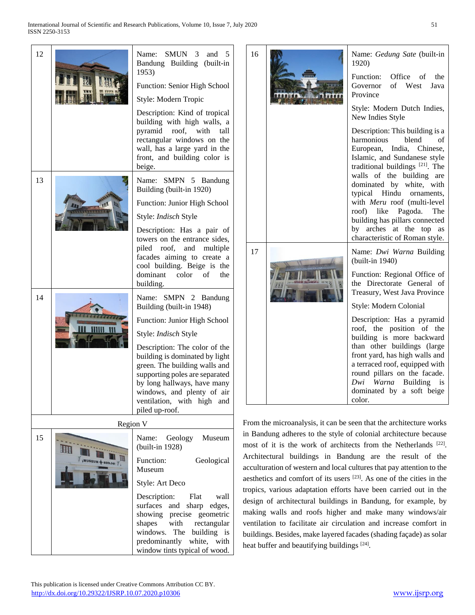| 12 |                     | <b>SMUN</b><br>Name:<br>3<br>and<br>5<br>Bandung Building<br>(built-in)<br>1953)                                                                                                                                                                                         |  |
|----|---------------------|--------------------------------------------------------------------------------------------------------------------------------------------------------------------------------------------------------------------------------------------------------------------------|--|
|    |                     | Function: Senior High School                                                                                                                                                                                                                                             |  |
|    |                     | Style: Modern Tropic                                                                                                                                                                                                                                                     |  |
|    |                     | Description: Kind of tropical<br>building with high walls, a<br>roof, with<br>pyramid<br>tall<br>rectangular windows on the<br>wall, has a large yard in the<br>front, and building color is<br>beige.                                                                   |  |
| 13 |                     | SMPN 5 Bandung<br>Name:<br>Building (built-in 1920)                                                                                                                                                                                                                      |  |
|    |                     | Function: Junior High School                                                                                                                                                                                                                                             |  |
|    |                     | Style: Indisch Style                                                                                                                                                                                                                                                     |  |
|    |                     | Description: Has a pair of<br>towers on the entrance sides,<br>piled roof, and multiple<br>facades aiming to create a<br>cool building. Beige is the<br>dominant color of<br>the<br>building.                                                                            |  |
| 14 |                     | Name: SMPN 2<br>Bandung<br>Building (built-in 1948)                                                                                                                                                                                                                      |  |
|    |                     | Function: Junior High School                                                                                                                                                                                                                                             |  |
|    |                     | Style: Indisch Style                                                                                                                                                                                                                                                     |  |
|    |                     | Description: The color of the<br>building is dominated by light<br>green. The building walls and<br>supporting poles are separated<br>by long hallways, have many<br>windows, and plenty of air<br>ventilation, with high<br>and<br>piled up-roof.                       |  |
|    |                     | Fro<br>Region V                                                                                                                                                                                                                                                          |  |
| 15 | III<br>抓<br>MUSEUM- | in<br>Geology<br>Name:<br>Museum<br>mo<br>(built-in 1928)                                                                                                                                                                                                                |  |
|    |                     | Ar<br>Function:<br>Geological<br>aco<br>Museum                                                                                                                                                                                                                           |  |
|    |                     | aes<br>Style: Art Deco                                                                                                                                                                                                                                                   |  |
|    |                     | tro<br>Description:<br>Flat<br>wall<br>de:<br>surfaces<br>and<br>edges,<br>sharp<br>ma<br>showing precise geometric<br>with rectangular<br>shapes<br>vei<br>windows.<br>building is<br>The<br>bu<br>predominantly<br>white, with<br>hea<br>window tints typical of wood. |  |



om the microanalysis, it can be seen that the architecture works Bandung adheres to the style of colonial architecture because most of it is the work of architects from the Netherlands [22]. chitectural buildings in Bandung are the result of the culturation of western and local cultures that pay attention to the sthetics and comfort of its users  $[23]$ . As one of the cities in the pics, various adaptation efforts have been carried out in the sign of architectural buildings in Bandung, for example, by aking walls and roofs higher and make many windows/air ntilation to facilitate air circulation and increase comfort in ildings. Besides, make layered facades (shading façade) as solar heat buffer and beautifying buildings [24].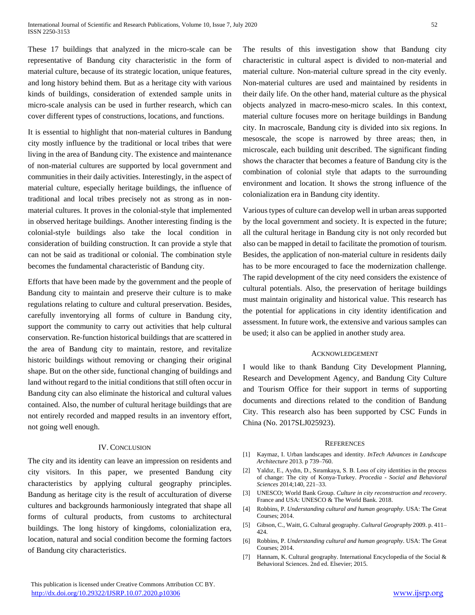These 17 buildings that analyzed in the micro-scale can be representative of Bandung city characteristic in the form of material culture, because of its strategic location, unique features, and long history behind them. But as a heritage city with various kinds of buildings, consideration of extended sample units in micro-scale analysis can be used in further research, which can cover different types of constructions, locations, and functions.

It is essential to highlight that non-material cultures in Bandung city mostly influence by the traditional or local tribes that were living in the area of Bandung city. The existence and maintenance of non-material cultures are supported by local government and communities in their daily activities. Interestingly, in the aspect of material culture, especially heritage buildings, the influence of traditional and local tribes precisely not as strong as in nonmaterial cultures. It proves in the colonial-style that implemented in observed heritage buildings. Another interesting finding is the colonial-style buildings also take the local condition in consideration of building construction. It can provide a style that can not be said as traditional or colonial. The combination style becomes the fundamental characteristic of Bandung city.

Efforts that have been made by the government and the people of Bandung city to maintain and preserve their culture is to make regulations relating to culture and cultural preservation. Besides, carefully inventorying all forms of culture in Bandung city, support the community to carry out activities that help cultural conservation. Re-function historical buildings that are scattered in the area of Bandung city to maintain, restore, and revitalize historic buildings without removing or changing their original shape. But on the other side, functional changing of buildings and land without regard to the initial conditions that still often occur in Bandung city can also eliminate the historical and cultural values contained. Also, the number of cultural heritage buildings that are not entirely recorded and mapped results in an inventory effort, not going well enough.

## IV. CONCLUSION

The city and its identity can leave an impression on residents and city visitors. In this paper, we presented Bandung city characteristics by applying cultural geography principles. Bandung as heritage city is the result of acculturation of diverse cultures and backgrounds harmoniously integrated that shape all forms of cultural products, from customs to architectural buildings. The long history of kingdoms, colonialization era, location, natural and social condition become the forming factors of Bandung city characteristics.

The results of this investigation show that Bandung city characteristic in cultural aspect is divided to non-material and material culture. Non-material culture spread in the city evenly. Non-material cultures are used and maintained by residents in their daily life. On the other hand, material culture as the physical objects analyzed in macro-meso-micro scales. In this context, material culture focuses more on heritage buildings in Bandung city. In macroscale, Bandung city is divided into six regions. In mesoscale, the scope is narrowed by three areas; then, in microscale, each building unit described. The significant finding shows the character that becomes a feature of Bandung city is the combination of colonial style that adapts to the surrounding environment and location. It shows the strong influence of the colonialization era in Bandung city identity.

Various types of culture can develop well in urban areas supported by the local government and society. It is expected in the future; all the cultural heritage in Bandung city is not only recorded but also can be mapped in detail to facilitate the promotion of tourism. Besides, the application of non-material culture in residents daily has to be more encouraged to face the modernization challenge. The rapid development of the city need considers the existence of cultural potentials. Also, the preservation of heritage buildings must maintain originality and historical value. This research has the potential for applications in city identity identification and assessment. In future work, the extensive and various samples can be used; it also can be applied in another study area.

#### ACKNOWLEDGEMENT

I would like to thank Bandung City Development Planning, Research and Development Agency, and Bandung City Culture and Tourism Office for their support in terms of supporting documents and directions related to the condition of Bandung City. This research also has been supported by CSC Funds in China (No. 2017SLJ025923).

#### **REFERENCES**

- [1] Kaymaz, I. Urban landscapes and identity. *InTech Advances in Landscape Architecture* 2013. p 739–760.
- [2] Yaldız, E., Aydın, D., Sıramkaya, S. B. Loss of city identities in the process of change: The city of Konya-Turkey. *Procedia - Social and Behavioral Sciences* 2014;140, 221–33.
- [3] UNESCO; World Bank Group. *Culture in city reconstruction and recovery*. France and USA: UNESCO & The World Bank. 2018.
- [4] Robbins, P. *Understanding cultural and human geography*. USA: The Great Courses; 2014.
- [5] Gibson, C., Waitt, G. Cultural geography. *Cultural Geography* 2009. p. 411– 424.
- [6] Robbins, P. *Understanding cultural and human geography*. USA: The Great Courses; 2014.
- [7] Hannam, K. Cultural geography. International Encyclopedia of the Social & Behavioral Sciences. 2nd ed. Elsevier; 2015.